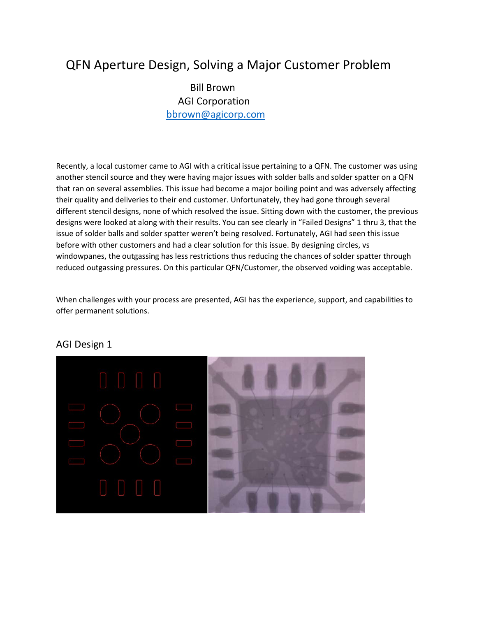## QFN Aperture Design, Solving a Major Customer Problem

 Bill Brown AGI Corporation bbrown@agicorp.com

Recently, a local customer came to AGI with a critical issue pertaining to a QFN. The customer was using another stencil source and they were having major issues with solder balls and solder spatter on a QFN that ran on several assemblies. This issue had become a major boiling point and was adversely affecting their quality and deliveries to their end customer. Unfortunately, they had gone through several different stencil designs, none of which resolved the issue. Sitting down with the customer, the previous designs were looked at along with their results. You can see clearly in "Failed Designs" 1 thru 3, that the issue of solder balls and solder spatter weren't being resolved. Fortunately, AGI had seen this issue before with other customers and had a clear solution for this issue. By designing circles, vs windowpanes, the outgassing has less restrictions thus reducing the chances of solder spatter through reduced outgassing pressures. On this particular QFN/Customer, the observed voiding was acceptable.

When challenges with your process are presented, AGI has the experience, support, and capabilities to offer permanent solutions.

## AGI Design 1